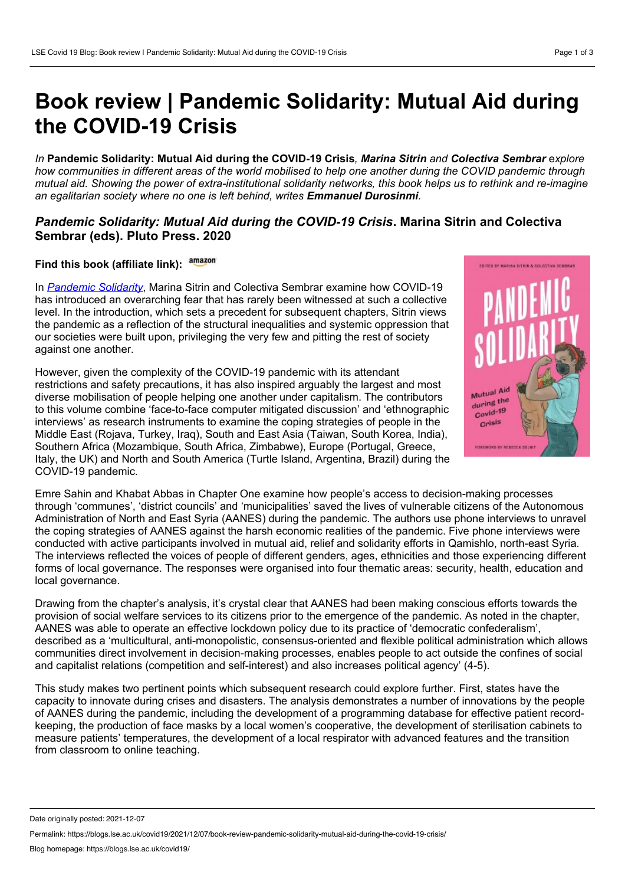## **Book review | Pandemic Solidarity: Mutual Aid during the COVID-19 Crisis**

*In* **Pandemic Solidarity: Mutual Aid during the COVID-19 Crisis***, Marina Sitrin and Colectiva Sembrar* e*xplore* how communities in different areas of the world mobilised to help one another during the COVID pandemic through mutual aid. Showing the power of extra-institutional solidarity networks, this book helps us to rethink and re-imagine *an egalitarian society where no one is left behind, writes Emmanuel Durosinmi.*

## *Pandemic Solidarity: Mutual Aid during the COVID-19 Crisis***. Marina Sitrin and Colectiva Sembrar (eds). Pluto Press. 2020**

## **Find this book (affiliate link):**

In *[Pandemic](https://www.plutobooks.com/9780745343167/pandemic-solidarity/) Solidarity*, Marina Sitrin and Colectiva Sembrar examine how COVID-19 has introduced an overarching fear that has rarely been witnessed at such a collective level. In the introduction, which sets a precedent for subsequent chapters, Sitrin views the pandemic as a reflection of the structural inequalities and systemic oppression that our societies were built upon, privileging the very few and pitting the rest of society against one another.

However, given the complexity of the COVID-19 pandemic with its attendant restrictions and safety precautions, it has also inspired arguably the largest and most diverse mobilisation of people helping one another under capitalism. The contributors to this volume combine 'face-to-face computer mitigated discussion' and 'ethnographic interviews' as research instruments to examine the coping strategies of people in the Middle East (Rojava, Turkey, Iraq), South and East Asia (Taiwan, South Korea, India), Southern Africa (Mozambique, South Africa, Zimbabwe), Europe (Portugal, Greece, Italy, the UK) and North and South America (Turtle Island, Argentina, Brazil) during the COVID-19 pandemic.



Emre Sahin and Khabat Abbas in Chapter One examine how people's access to decision-making processes through 'communes', 'district councils' and 'municipalities' saved the lives of vulnerable citizens of the Autonomous Administration of North and East Syria (AANES) during the pandemic. The authors use phone interviews to unravel the coping strategies of AANES against the harsh economic realities of the pandemic. Five phone interviews were conducted with active participants involved in mutual aid, relief and solidarity efforts in Qamishlo, north-east Syria. The interviews reflected the voices of people of different genders, ages, ethnicities and those experiencing different forms of local governance. The responses were organised into four thematic areas: security, health, education and local governance.

Drawing from the chapter's analysis, it's crystal clear that AANES had been making conscious efforts towards the provision of social welfare services to its citizens prior to the emergence of the pandemic. As noted in the chapter, AANES was able to operate an effective lockdown policy due to its practice of 'democratic confederalism', described as a 'multicultural, anti-monopolistic, consensus-oriented and flexible political administration which allows communities direct involvement in decision-making processes, enables people to act outside the confines of social and capitalist relations (competition and self-interest) and also increases political agency' (4-5).

This study makes two pertinent points which subsequent research could explore further. First, states have the capacity to innovate during crises and disasters. The analysis demonstrates a number of innovations by the people of AANES during the pandemic, including the development of a programming database for effective patient record keeping, the production of face masks by a local women's cooperative, the development of sterilisation cabinets to measure patients' temperatures, the development of a local respirator with advanced features and the transition from classroom to online teaching.

Date originally posted: 2021-12-07

Permalink: https://blogs.lse.ac.uk/covid19/2021/12/07/book-review-pandemic-solidarity-mutual-aid-during-the-covid-19-crisis/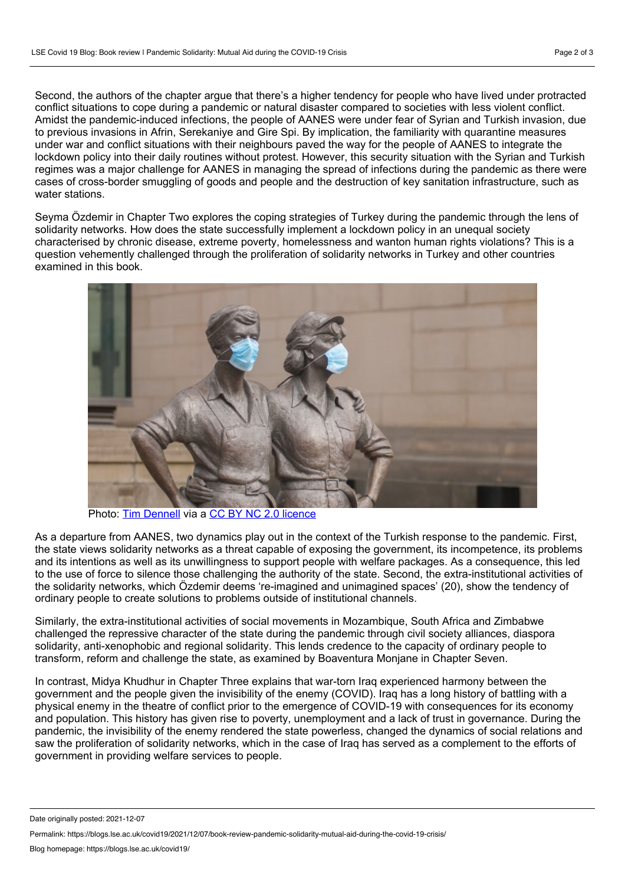Second, the authors of the chapter argue that there's a higher tendency for people who have lived under protracted conflict situations to cope during a pandemic or natural disaster compared to societies with less violent conflict. Amidst the pandemic-induced infections, the people of AANES were under fear of Syrian and Turkish invasion, due to previous invasions in Afrin, Serekaniye and Gire Spi. By implication, the familiarity with quarantine measures under war and conflict situations with their neighbours paved the way for the people of AANES to integrate the lockdown policy into their daily routines without protest. However, this security situation with the Syrian and Turkish regimes was a major challenge for AANES in managing the spread of infections during the pandemic as there were cases of cross-border smuggling of goods and people and the destruction of key sanitation infrastructure, such as water stations.

Seyma Ӧzdemir in Chapter Two explores the coping strategies of Turkey during the pandemic through the lens of solidarity networks. How does the state successfully implement a lockdown policy in an unequal society characterised by chronic disease, extreme poverty, homelessness and wanton human rights violations? This is a question vehemently challenged through the proliferation of solidarity networks in Turkey and other countries examined in this book.



Photo: Tim [Dennell](https://flickr.com/photos/shefftim/49735384322/in/photolist-2iLWR1f-2mkmkKA-nt1E8j-2mLWhqv-2iQ6sjC-2iJBi57-61CwAT-2iUDtK9-SAMXsR-2iHqCHg-2iGnbZM-2iFBh54-2iTTwm9-2iNQ9wq-2iKpkc4-2iJFFJX-2iLVbGN-L5M7Fs-2iQFWsp-2iR4U3P-2iGndfC-2iEB42j-DRrD7x-2iGKqfA-TnSQZY-a7oXkV-bcssa-gmFr7E-52vF2v-2iKpm6i-thYip-NB95M8-dhjT2T-29APQfG-2bgiMC9-2bgiMHQ-2chWL11-EVQqA8-2iGpYFk-w367fT-Uaqnpu-gmFE6M-YDBeRn-2hgCS6A-gmFMQf-8aKCR1-NB97Ba-2iX5xL9-2mBK4RY-2iS25HT) via a CC BY NC 2.0 [licence](https://creativecommons.org/licenses/by-nc/2.0/)

As a departure from AANES, two dynamics play out in the context of the Turkish response to the pandemic. First, the state views solidarity networks as a threat capable of exposing the government, its incompetence, its problems and its intentions as well as its unwillingness to support people with welfare packages. As a consequence, this led to the use of force to silence those challenging the authority of the state. Second, the extra-institutional activities of the solidarity networks, which Ӧzdemir deems 're-imagined and unimagined spaces' (20), show the tendency of ordinary people to create solutions to problems outside of institutional channels.

Similarly, the extra-institutional activities of social movements in Mozambique, South Africa and Zimbabwe challenged the repressive character of the state during the pandemic through civil society alliances, diaspora solidarity, anti-xenophobic and regional solidarity. This lends credence to the capacity of ordinary people to transform, reform and challenge the state, as examined by Boaventura Monjane in Chapter Seven.

In contrast, Midya Khudhur in Chapter Three explains that war-torn Iraq experienced harmony between the government and the people given the invisibility of the enemy (COVID). Iraq has a long history of battling with a physical enemy in the theatre of conflict prior to the emergence of COVID-19 with consequences for its economy and population. This history has given rise to poverty, unemployment and a lack of trust in governance. During the pandemic, the invisibility of the enemy rendered the state powerless, changed the dynamics of social relations and saw the proliferation of solidarity networks, which in the case of Iraq has served as a complement to the efforts of government in providing welfare services to people.

Date originally posted: 2021-12-07

Permalink: https://blogs.lse.ac.uk/covid19/2021/12/07/book-review-pandemic-solidarity-mutual-aid-during-the-covid-19-crisis/